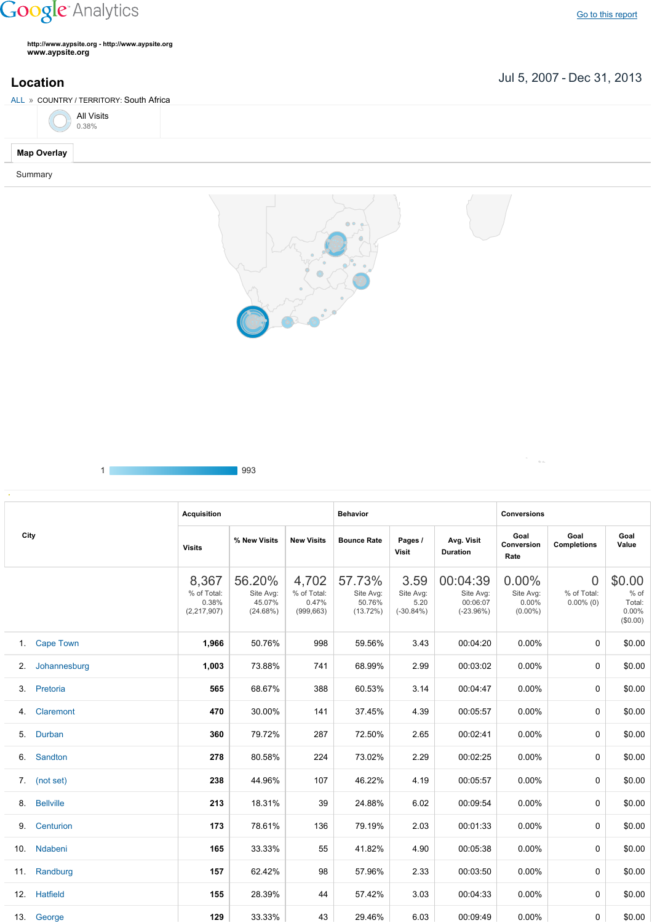## **Google** Analytics

**http://www.aypsite.org http://www.aypsite.org www.aypsite.org**

Jul 5, 2007 Dec 31, 2013 **Location**

 $\mathcal{O}(\mathcal{O}_{\mathcal{O}_{\mathcal{O}}}$ 

| ALL » COUNTRY / TERRITORY: South Africa |  |  |
|-----------------------------------------|--|--|
| All Visits<br>0.38%                     |  |  |
| <b>Map Overlay</b>                      |  |  |
| Summary                                 |  |  |
|                                         |  |  |





|                                                  |                  | <b>Acquisition</b>                             |                                           |                                             | <b>Behavior</b>                              |                                          |                                                  | <b>Conversions</b>                           |                                               |                                                  |  |
|--------------------------------------------------|------------------|------------------------------------------------|-------------------------------------------|---------------------------------------------|----------------------------------------------|------------------------------------------|--------------------------------------------------|----------------------------------------------|-----------------------------------------------|--------------------------------------------------|--|
| City<br>2.<br>4.<br>5.<br>8.<br>9.<br>10.<br>11. |                  | <b>Visits</b>                                  | % New Visits                              | <b>New Visits</b>                           | <b>Bounce Rate</b>                           | Pages /<br>Visit                         | Avg. Visit<br><b>Duration</b>                    | Goal<br>Conversion<br>Rate                   | Goal<br><b>Completions</b>                    | Goal<br>Value                                    |  |
|                                                  |                  | 8,367<br>% of Total:<br>0.38%<br>(2, 217, 907) | 56.20%<br>Site Avg:<br>45.07%<br>(24.68%) | 4,702<br>% of Total:<br>0.47%<br>(999, 663) | 57.73%<br>Site Avg:<br>50.76%<br>$(13.72\%)$ | 3.59<br>Site Avg:<br>5.20<br>$(-30.84%)$ | 00:04:39<br>Site Avg:<br>00:06:07<br>$(-23.96%)$ | 0.00%<br>Site Avg:<br>$0.00\%$<br>$(0.00\%)$ | $\overline{0}$<br>% of Total:<br>$0.00\%$ (0) | \$0.00<br>% of<br>Total:<br>$0.00\%$<br>(\$0.00) |  |
|                                                  | 1. Cape Town     | 1,966                                          | 50.76%                                    | 998                                         | 59.56%                                       | 3.43                                     | 00:04:20                                         | 0.00%                                        | 0                                             | \$0.00                                           |  |
|                                                  | Johannesburg     | 1,003                                          | 73.88%                                    | 741                                         | 68.99%                                       | 2.99                                     | 00:03:02                                         | $0.00\%$                                     | 0                                             | \$0.00                                           |  |
|                                                  | 3. Pretoria      | 565                                            | 68.67%                                    | 388                                         | 60.53%                                       | 3.14                                     | 00:04:47                                         | 0.00%                                        | 0                                             | \$0.00                                           |  |
|                                                  | Claremont        | 470                                            | 30.00%                                    | 141                                         | 37.45%                                       | 4.39                                     | 00:05:57                                         | 0.00%                                        | 0                                             | \$0.00                                           |  |
|                                                  | Durban           | 360                                            | 79.72%                                    | 287                                         | 72.50%                                       | 2.65                                     | 00:02:41                                         | $0.00\%$                                     | 0                                             | \$0.00                                           |  |
|                                                  | 6. Sandton       | 278                                            | 80.58%                                    | 224                                         | 73.02%                                       | 2.29                                     | 00:02:25                                         | 0.00%                                        | 0                                             | \$0.00                                           |  |
|                                                  | 7. (not set)     | 238                                            | 44.96%                                    | 107                                         | 46.22%                                       | 4.19                                     | 00:05:57                                         | 0.00%                                        | 0                                             | \$0.00                                           |  |
|                                                  | <b>Bellville</b> | 213                                            | 18.31%                                    | 39                                          | 24.88%                                       | 6.02                                     | 00:09:54                                         | $0.00\%$                                     | 0                                             | \$0.00                                           |  |
|                                                  | Centurion        | 173                                            | 78.61%                                    | 136                                         | 79.19%                                       | 2.03                                     | 00:01:33                                         | 0.00%                                        | 0                                             | \$0.00                                           |  |
|                                                  | Ndabeni          | 165                                            | 33.33%                                    | 55                                          | 41.82%                                       | 4.90                                     | 00:05:38                                         | $0.00\%$                                     | 0                                             | \$0.00                                           |  |
|                                                  | Randburg         | 157                                            | 62.42%                                    | 98                                          | 57.96%                                       | 2.33                                     | 00:03:50                                         | $0.00\%$                                     | 0                                             | \$0.00                                           |  |
|                                                  | 12. Hatfield     | 155                                            | 28.39%                                    | 44                                          | 57.42%                                       | 3.03                                     | 00:04:33                                         | $0.00\%$                                     | 0                                             | \$0.00                                           |  |
|                                                  | 13. George       | 129                                            | 33.33%                                    | 43                                          | 29.46%                                       | 6.03                                     | 00:09:49                                         | 0.00%                                        | 0                                             | \$0.00                                           |  |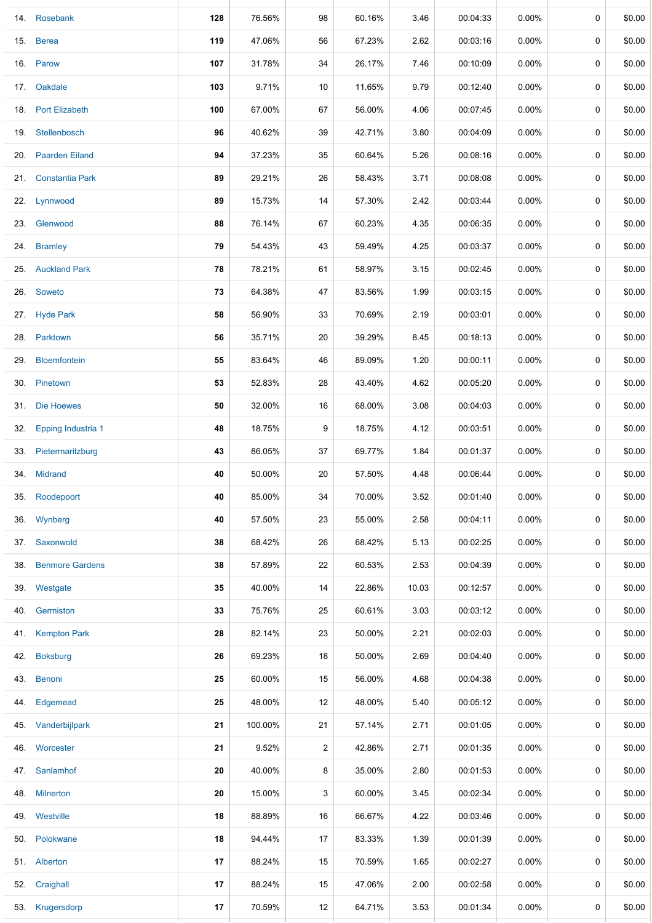|     | 14. Rosebank              | 128 | 76.56%  | 98             | 60.16% | 3.46  | 00:04:33 | $0.00\%$ | 0 | \$0.00 |
|-----|---------------------------|-----|---------|----------------|--------|-------|----------|----------|---|--------|
|     | 15. Berea                 | 119 | 47.06%  | 56             | 67.23% | 2.62  | 00:03:16 | 0.00%    | 0 | \$0.00 |
|     | 16. Parow                 | 107 | 31.78%  | 34             | 26.17% | 7.46  | 00:10:09 | $0.00\%$ | 0 | \$0.00 |
|     | 17. Oakdale               | 103 | 9.71%   | 10             | 11.65% | 9.79  | 00:12:40 | 0.00%    | 0 | \$0.00 |
|     | 18. Port Elizabeth        | 100 | 67.00%  | 67             | 56.00% | 4.06  | 00:07:45 | $0.00\%$ | 0 | \$0.00 |
|     | 19. Stellenbosch          | 96  | 40.62%  | 39             | 42.71% | 3.80  | 00:04:09 | $0.00\%$ | 0 | \$0.00 |
|     | 20. Paarden Eiland        | 94  | 37.23%  | 35             | 60.64% | 5.26  | 00:08:16 | 0.00%    | 0 | \$0.00 |
|     | 21. Constantia Park       | 89  | 29.21%  | 26             | 58.43% | 3.71  | 00:08:08 | $0.00\%$ | 0 | \$0.00 |
|     | 22. Lynnwood              | 89  | 15.73%  | 14             | 57.30% | 2.42  | 00:03:44 | $0.00\%$ | 0 | \$0.00 |
|     | 23. Glenwood              | 88  | 76.14%  | 67             | 60.23% | 4.35  | 00:06:35 | $0.00\%$ | 0 | \$0.00 |
|     | 24. Bramley               | 79  | 54.43%  | 43             | 59.49% | 4.25  | 00:03:37 | $0.00\%$ | 0 | \$0.00 |
|     | 25. Auckland Park         | 78  | 78.21%  | 61             | 58.97% | 3.15  | 00:02:45 | $0.00\%$ | 0 | \$0.00 |
|     | 26. Soweto                | 73  | 64.38%  | 47             | 83.56% | 1.99  | 00:03:15 | $0.00\%$ | 0 | \$0.00 |
|     | 27. Hyde Park             | 58  | 56.90%  | 33             | 70.69% | 2.19  | 00:03:01 | $0.00\%$ | 0 | \$0.00 |
|     | 28. Parktown              | 56  | 35.71%  | 20             | 39.29% | 8.45  | 00:18:13 | $0.00\%$ | 0 | \$0.00 |
| 29. | <b>Bloemfontein</b>       | 55  | 83.64%  | 46             | 89.09% | 1.20  | 00:00:11 | $0.00\%$ | 0 | \$0.00 |
|     | 30. Pinetown              | 53  | 52.83%  | 28             | 43.40% | 4.62  | 00:05:20 | $0.00\%$ | 0 | \$0.00 |
| 31. | Die Hoewes                | 50  | 32.00%  | 16             | 68.00% | 3.08  | 00:04:03 | 0.00%    | 0 | \$0.00 |
| 32. | <b>Epping Industria 1</b> | 48  | 18.75%  | 9              | 18.75% | 4.12  | 00:03:51 | $0.00\%$ | 0 | \$0.00 |
| 33. | Pietermaritzburg          | 43  | 86.05%  | 37             | 69.77% | 1.84  | 00:01:37 | $0.00\%$ | 0 | \$0.00 |
|     | 34. Midrand               | 40  | 50.00%  | 20             | 57.50% | 4.48  | 00:06:44 | $0.00\%$ | 0 | \$0.00 |
| 35. | Roodepoort                | 40  | 85.00%  | 34             | 70.00% | 3.52  | 00:01:40 | 0.00%    | 0 | \$0.00 |
|     | 36. Wynberg               | 40  | 57.50%  | 23             | 55.00% | 2.58  | 00:04:11 | $0.00\%$ | 0 | \$0.00 |
|     | 37. Saxonwold             | 38  | 68.42%  | 26             | 68.42% | 5.13  | 00:02:25 | $0.00\%$ | 0 | \$0.00 |
|     | 38. Benmore Gardens       | 38  | 57.89%  | 22             | 60.53% | 2.53  | 00:04:39 | $0.00\%$ | 0 | \$0.00 |
|     | 39. Westgate              | 35  | 40.00%  | 14             | 22.86% | 10.03 | 00:12:57 | $0.00\%$ | 0 | \$0.00 |
|     | 40. Germiston             | 33  | 75.76%  | 25             | 60.61% | 3.03  | 00:03:12 | $0.00\%$ | 0 | \$0.00 |
|     | 41. Kempton Park          | 28  | 82.14%  | 23             | 50.00% | 2.21  | 00:02:03 | $0.00\%$ | 0 | \$0.00 |
|     | 42. Boksburg              | 26  | 69.23%  | 18             | 50.00% | 2.69  | 00:04:40 | $0.00\%$ | 0 | \$0.00 |
|     | 43. Benoni                | 25  | 60.00%  | 15             | 56.00% | 4.68  | 00:04:38 | $0.00\%$ | 0 | \$0.00 |
|     | 44. Edgemead              | 25  | 48.00%  | 12             | 48.00% | 5.40  | 00:05:12 | $0.00\%$ | 0 | \$0.00 |
|     | 45. Vanderbijlpark        | 21  | 100.00% | 21             | 57.14% | 2.71  | 00:01:05 | $0.00\%$ | 0 | \$0.00 |
|     | 46. Worcester             | 21  | 9.52%   | $\overline{2}$ | 42.86% | 2.71  | 00:01:35 | $0.00\%$ | 0 | \$0.00 |
|     | 47. Sanlamhof             | 20  | 40.00%  | 8              | 35.00% | 2.80  | 00:01:53 | $0.00\%$ | 0 | \$0.00 |
|     | 48. Milnerton             | 20  | 15.00%  | 3              | 60.00% | 3.45  | 00:02:34 | 0.00%    | 0 | \$0.00 |
|     | 49. Westville             | 18  | 88.89%  | 16             | 66.67% | 4.22  | 00:03:46 | 0.00%    | 0 | \$0.00 |
|     | 50. Polokwane             | 18  | 94.44%  | 17             | 83.33% | 1.39  | 00:01:39 | $0.00\%$ | 0 | \$0.00 |
|     | 51. Alberton              | 17  | 88.24%  | 15             | 70.59% | 1.65  | 00:02:27 | $0.00\%$ | 0 | \$0.00 |
|     | 52. Craighall             | 17  | 88.24%  | 15             | 47.06% | 2.00  | 00:02:58 | $0.00\%$ | 0 | \$0.00 |
|     | 53. Krugersdorp           | 17  | 70.59%  | 12             | 64.71% | 3.53  | 00:01:34 | $0.00\%$ | 0 | \$0.00 |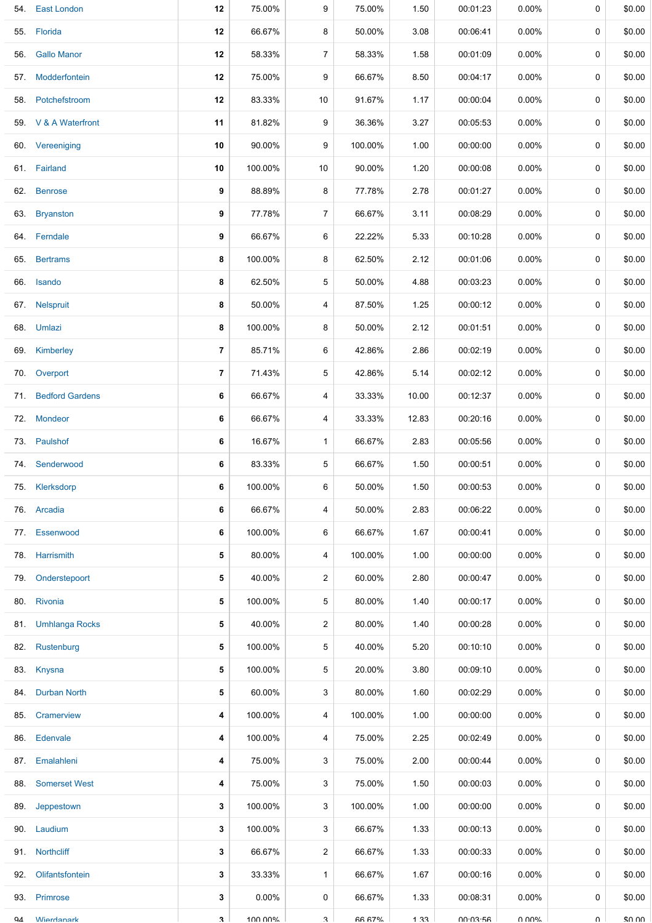| 54. | <b>East London</b>    | 12             | 75.00%   | 9              | 75.00%        | 1.50  | 00:01:23 | $0.00\%$ | 0      | \$0.00 |
|-----|-----------------------|----------------|----------|----------------|---------------|-------|----------|----------|--------|--------|
|     | 55. Florida           | 12             | 66.67%   | 8              | 50.00%        | 3.08  | 00:06:41 | $0.00\%$ | 0      | \$0.00 |
|     | 56. Gallo Manor       | 12             | 58.33%   | 7              | 58.33%        | 1.58  | 00:01:09 | $0.00\%$ | 0      | \$0.00 |
|     | 57. Modderfontein     | 12             | 75.00%   | 9              | 66.67%        | 8.50  | 00:04:17 | $0.00\%$ | 0      | \$0.00 |
|     | 58. Potchefstroom     | 12             | 83.33%   | 10             | 91.67%        | 1.17  | 00:00:04 | $0.00\%$ | 0      | \$0.00 |
|     | 59. V & A Waterfront  | 11             | 81.82%   | 9              | 36.36%        | 3.27  | 00:05:53 | $0.00\%$ | 0      | \$0.00 |
|     | 60. Vereeniging       | 10             | 90.00%   | 9              | 100.00%       | 1.00  | 00:00:00 | $0.00\%$ | 0      | \$0.00 |
|     | 61. Fairland          | 10             | 100.00%  | 10             | 90.00%        | 1.20  | 00:00:08 | $0.00\%$ | 0      | \$0.00 |
|     | 62. Benrose           | 9              | 88.89%   | 8              | 77.78%        | 2.78  | 00:01:27 | $0.00\%$ | 0      | \$0.00 |
|     | 63. Bryanston         | 9              | 77.78%   | $\overline{7}$ | 66.67%        | 3.11  | 00:08:29 | $0.00\%$ | 0      | \$0.00 |
|     | 64. Ferndale          | 9              | 66.67%   | 6              | 22.22%        | 5.33  | 00:10:28 | $0.00\%$ | 0      | \$0.00 |
| 65. | <b>Bertrams</b>       | 8              | 100.00%  | 8              | 62.50%        | 2.12  | 00:01:06 | $0.00\%$ | 0      | \$0.00 |
|     | 66. Isando            | 8              | 62.50%   | 5              | 50.00%        | 4.88  | 00:03:23 | $0.00\%$ | 0      | \$0.00 |
|     | 67. Nelspruit         | 8              | 50.00%   | 4              | 87.50%        | 1.25  | 00:00:12 | $0.00\%$ | 0      | \$0.00 |
|     | 68. Umlazi            | 8              | 100.00%  | 8              | 50.00%        | 2.12  | 00:01:51 | $0.00\%$ | 0      | \$0.00 |
|     | 69. Kimberley         | $\overline{7}$ | 85.71%   | 6              | 42.86%        | 2.86  | 00:02:19 | $0.00\%$ | 0      | \$0.00 |
| 70. | Overport              | $\overline{7}$ | 71.43%   | 5              | 42.86%        | 5.14  | 00:02:12 | $0.00\%$ | 0      | \$0.00 |
|     | 71. Bedford Gardens   | 6              | 66.67%   | 4              | 33.33%        | 10.00 | 00:12:37 | $0.00\%$ | 0      | \$0.00 |
|     | 72. Mondeor           | 6              | 66.67%   | 4              | 33.33%        | 12.83 | 00:20:16 | $0.00\%$ | 0      | \$0.00 |
|     | 73. Paulshof          | 6              | 16.67%   | $\mathbf{1}$   | 66.67%        | 2.83  | 00:05:56 | $0.00\%$ | 0      | \$0.00 |
| 74. | Senderwood            | 6              | 83.33%   | 5              | 66.67%        | 1.50  | 00:00:51 | $0.00\%$ | 0      | \$0.00 |
|     | 75. Klerksdorp        | 6              | 100.00%  | 6              | 50.00%        | 1.50  | 00:00:53 | $0.00\%$ | 0      | \$0.00 |
|     | 76. Arcadia           | 6              | 66.67%   | 4              | 50.00%        | 2.83  | 00:06:22 | $0.00\%$ | 0      | \$0.00 |
|     | 77. Essenwood         | 6              | 100.00%  | 6              | 66.67%        | 1.67  | 00:00:41 | $0.00\%$ | 0      | \$0.00 |
| 78. | Harrismith            | 5              | 80.00%   | 4              | 100.00%       | 1.00  | 00:00:00 | $0.00\%$ | 0      | \$0.00 |
| 79. | Onderstepoort         | 5              | 40.00%   | $\overline{2}$ | 60.00%        | 2.80  | 00:00:47 | $0.00\%$ | 0      | \$0.00 |
|     | 80. Rivonia           | 5              | 100.00%  | 5              | 80.00%        | 1.40  | 00:00:17 | $0.00\%$ | 0      | \$0.00 |
| 81. | <b>Umhlanga Rocks</b> | 5              | 40.00%   | $\overline{2}$ | 80.00%        | 1.40  | 00:00:28 | $0.00\%$ | 0      | \$0.00 |
| 82. | Rustenburg            | 5              | 100.00%  | 5              | 40.00%        | 5.20  | 00:10:10 | $0.00\%$ | 0      | \$0.00 |
|     | 83. Knysna            | 5              | 100.00%  | 5              | 20.00%        | 3.80  | 00:09:10 | $0.00\%$ | 0      | \$0.00 |
| 84. | <b>Durban North</b>   | 5              | 60.00%   | 3              | 80.00%        | 1.60  | 00:02:29 | $0.00\%$ | 0      | \$0.00 |
| 85. | Cramerview            | 4              | 100.00%  | 4              | 100.00%       | 1.00  | 00:00:00 | $0.00\%$ | 0      | \$0.00 |
| 86. | Edenvale              | 4              | 100.00%  | 4              | 75.00%        | 2.25  | 00:02:49 | $0.00\%$ | 0      | \$0.00 |
| 87. | Emalahleni            | 4              | 75.00%   | 3              | 75.00%        | 2.00  | 00:00:44 | $0.00\%$ | 0      | \$0.00 |
| 88. | <b>Somerset West</b>  | 4              | 75.00%   | 3              | 75.00%        | 1.50  | 00:00:03 | $0.00\%$ | 0      | \$0.00 |
| 89. | Jeppestown            | 3              | 100.00%  | 3              | 100.00%       | 1.00  | 00:00:00 | $0.00\%$ | 0      | \$0.00 |
|     | 90. Laudium           | 3              | 100.00%  | 3              | 66.67%        | 1.33  | 00:00:13 | $0.00\%$ | 0      | \$0.00 |
| 91. | <b>Northcliff</b>     | 3              | 66.67%   | $\overline{2}$ | 66.67%        | 1.33  | 00:00:33 | $0.00\%$ | 0      | \$0.00 |
| 92. | Olifantsfontein       | 3              | 33.33%   | $\mathbf{1}$   | 66.67%        | 1.67  | 00:00:16 | $0.00\%$ | 0      | \$0.00 |
| 93. | Primrose              | 3              | $0.00\%$ | 0              | 66.67%        | 1.33  | 00:08:31 | $0.00\%$ | 0      | \$0.00 |
| QΔ  | <b>Wierdanark</b>     | $\mathbf{R}$   | 100.00%  | 3              | <b>AR A7%</b> | 1 33  | 00.03.56 | ህ ሀሀላ    | $\cap$ | ደሀ ሀሀ  |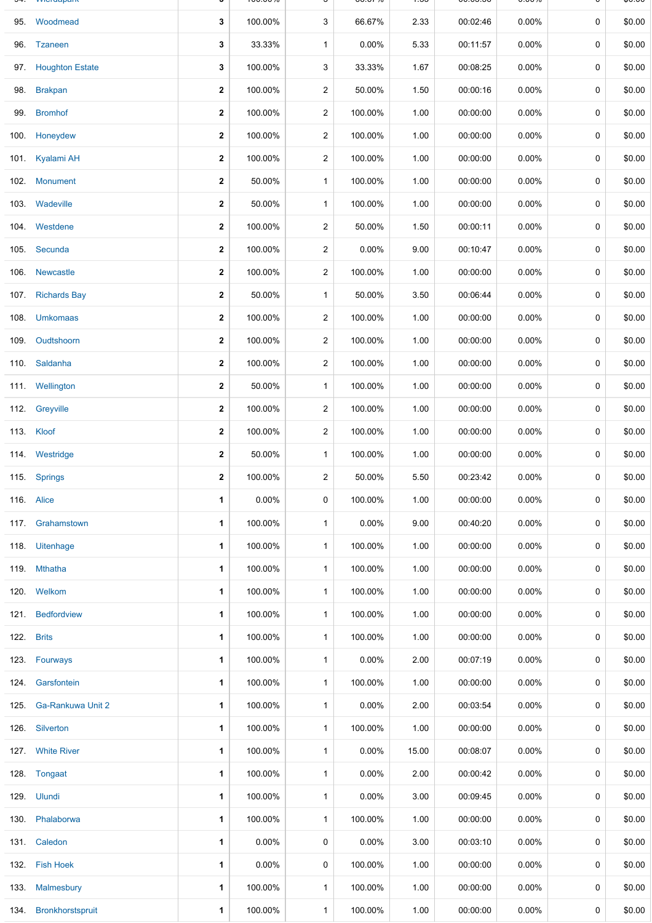|      | 95. Woodmead           | 3            | 100.00%  | 3              | 66.67%   | 2.33  | 00:02:46 | 0.00%    | 0           | \$0.00 |
|------|------------------------|--------------|----------|----------------|----------|-------|----------|----------|-------------|--------|
|      | 96. Tzaneen            | 3            | 33.33%   | $\mathbf{1}$   | 0.00%    | 5.33  | 00:11:57 | $0.00\%$ | 0           | \$0.00 |
|      | 97. Houghton Estate    | 3            | 100.00%  | 3              | 33.33%   | 1.67  | 00:08:25 | 0.00%    | 0           | \$0.00 |
| 98.  | <b>Brakpan</b>         | $\mathbf{2}$ | 100.00%  | $\overline{2}$ | 50.00%   | 1.50  | 00:00:16 | $0.00\%$ | 0           | \$0.00 |
| 99.  | <b>Bromhof</b>         | $\mathbf 2$  | 100.00%  | 2              | 100.00%  | 1.00  | 00:00:00 | $0.00\%$ | 0           | \$0.00 |
| 100. | Honeydew               | $\mathbf{2}$ | 100.00%  | 2              | 100.00%  | 1.00  | 00:00:00 | $0.00\%$ | 0           | \$0.00 |
|      | 101. Kyalami AH        | 2            | 100.00%  | 2              | 100.00%  | 1.00  | 00:00:00 | 0.00%    | 0           | \$0.00 |
| 102. | Monument               | 2            | 50.00%   | $\mathbf{1}$   | 100.00%  | 1.00  | 00:00:00 | 0.00%    | 0           | \$0.00 |
|      | 103. Wadeville         | 2            | 50.00%   | $\mathbf{1}$   | 100.00%  | 1.00  | 00:00:00 | $0.00\%$ | 0           | \$0.00 |
|      | 104. Westdene          | $\mathbf{2}$ | 100.00%  | 2              | 50.00%   | 1.50  | 00:00:11 | 0.00%    | 0           | \$0.00 |
|      | 105. Secunda           | $\mathbf{2}$ | 100.00%  | $\overline{2}$ | 0.00%    | 9.00  | 00:10:47 | 0.00%    | 0           | \$0.00 |
|      | 106 Newcastle          | $\mathbf{2}$ | 100.00%  | $\overline{a}$ | 100.00%  | 1.00  | 00:00:00 | $0.00\%$ | 0           | \$0.00 |
| 107. | <b>Richards Bay</b>    | $\mathbf{2}$ | 50.00%   | $\mathbf{1}$   | 50.00%   | 3.50  | 00:06:44 | $0.00\%$ | 0           | \$0.00 |
|      | 108. Umkomaas          | 2            | 100.00%  | $\overline{2}$ | 100.00%  | 1.00  | 00:00:00 | 0.00%    | 0           | \$0.00 |
|      | 109. Oudtshoorn        | $\mathbf{2}$ | 100.00%  | $\overline{2}$ | 100.00%  | 1.00  | 00:00:00 | $0.00\%$ | 0           | \$0.00 |
|      | 110. Saldanha          | 2            | 100.00%  | 2              | 100.00%  | 1.00  | 00:00:00 | $0.00\%$ | 0           | \$0.00 |
|      | 111. Wellington        | $\mathbf{2}$ | 50.00%   | $\mathbf{1}$   | 100.00%  | 1.00  | 00:00:00 | $0.00\%$ | 0           | \$0.00 |
|      | 112. Greyville         | 2            | 100.00%  | 2              | 100.00%  | 1.00  | 00:00:00 | 0.00%    | 0           | \$0.00 |
|      | 113. Kloof             | $\mathbf{2}$ | 100.00%  | $\overline{a}$ | 100.00%  | 1.00  | 00:00:00 | $0.00\%$ | 0           | \$0.00 |
|      | 114. Westridge         | 2            | 50.00%   | $\mathbf{1}$   | 100.00%  | 1.00  | 00:00:00 | 0.00%    | 0           | \$0.00 |
|      | 115. Springs           | $\mathbf{2}$ | 100.00%  | $\overline{a}$ | 50.00%   | 5.50  | 00:23:42 | 0.00%    | 0           | \$0.00 |
|      | 116. Alice             | 1            | $0.00\%$ | 0              | 100.00%  | 1.00  | 00:00:00 | $0.00\%$ | 0           | \$0.00 |
|      | 117. Grahamstown       | 1            | 100.00%  | $\mathbf{1}$   | 0.00%    | 9.00  | 00:40:20 | $0.00\%$ | $\mathbf 0$ | \$0.00 |
|      | 118. Uitenhage         | 1            | 100.00%  | $\mathbf{1}$   | 100.00%  | 1.00  | 00:00:00 | $0.00\%$ | 0           | \$0.00 |
|      | 119. Mthatha           | 1            | 100.00%  | $\mathbf{1}$   | 100.00%  | 1.00  | 00:00:00 | 0.00%    | 0           | \$0.00 |
|      | 120. Welkom            | 1            | 100.00%  | $\mathbf{1}$   | 100.00%  | 1.00  | 00:00:00 | $0.00\%$ | 0           | \$0.00 |
|      | 121. Bedfordview       | 1            | 100.00%  | $\mathbf{1}$   | 100.00%  | 1.00  | 00:00:00 | 0.00%    | 0           | \$0.00 |
|      | 122. Brits             | 1            | 100.00%  | $\mathbf{1}$   | 100.00%  | 1.00  | 00:00:00 | $0.00\%$ | 0           | \$0.00 |
| 123. | Fourways               | 1            | 100.00%  | $\mathbf{1}$   | $0.00\%$ | 2.00  | 00:07:19 | $0.00\%$ | 0           | \$0.00 |
|      | 124. Garsfontein       | 1            | 100.00%  | $\mathbf{1}$   | 100.00%  | 1.00  | 00:00:00 | $0.00\%$ | 0           | \$0.00 |
|      | 125. Ga-Rankuwa Unit 2 | 1            | 100.00%  | $\mathbf{1}$   | $0.00\%$ | 2.00  | 00:03:54 | $0.00\%$ | 0           | \$0.00 |
|      | 126. Silverton         | 1            | 100.00%  | $\mathbf{1}$   | 100.00%  | 1.00  | 00:00:00 | $0.00\%$ | 0           | \$0.00 |
|      | 127. White River       | 1            | 100.00%  | $\mathbf{1}$   | $0.00\%$ | 15.00 | 00:08:07 | $0.00\%$ | 0           | \$0.00 |
|      | 128. Tongaat           | 1            | 100.00%  | $\mathbf{1}$   | $0.00\%$ | 2.00  | 00:00:42 | $0.00\%$ | 0           | \$0.00 |
|      | 129. Ulundi            | 1            | 100.00%  | $\mathbf{1}$   | $0.00\%$ | 3.00  | 00:09:45 | $0.00\%$ | 0           | \$0.00 |
| 130. | Phalaborwa             | 1            | 100.00%  | $\mathbf{1}$   | 100.00%  | 1.00  | 00:00:00 | 0.00%    | 0           | \$0.00 |
|      | 131. Caledon           | 1            | $0.00\%$ | 0              | $0.00\%$ | 3.00  | 00:03:10 | $0.00\%$ | 0           | \$0.00 |
|      | 132. Fish Hoek         | 1            | $0.00\%$ | 0              | 100.00%  | 1.00  | 00:00:00 | $0.00\%$ | 0           | \$0.00 |
| 133. | Malmesbury             | 1            | 100.00%  | $\mathbf{1}$   | 100.00%  | 1.00  | 00:00:00 | $0.00\%$ | 0           | \$0.00 |
| 134. | Bronkhorstspruit       | 1            | 100.00%  | $\mathbf{1}$   | 100.00%  | 1.00  | 00:00:00 | $0.00\%$ | 0           | \$0.00 |

94. Wierdapark **3** 100.00% 3 66.67% 1.33 00:03:56 0.00% 0 \$0.00